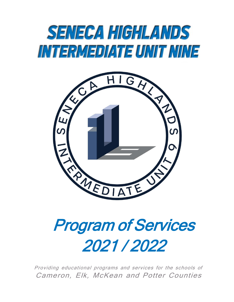# **SENECA HIGHLANDS** INTERMEDIATE UNIT NINE



# Program of Services 2021 / 2022

Providing educational programs and services for the schools of Cameron, Elk, McKean and Potter Counties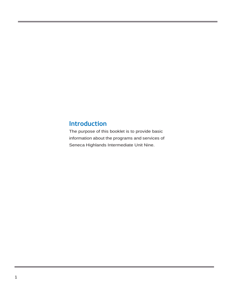# **Introduction**

The purpose of this booklet is to provide basic information about the programs and services of Seneca Highlands Intermediate Unit Nine.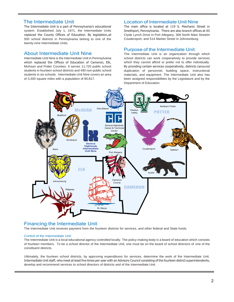### The Intermediate Unit

The Intermediate Unit is a part of Pennsylvania's educational system. Established July 1, 1971, the Intermediate Units replaced the County Offices of Education. By legislation,all 500 school districts in Pennsylvania belong to one of the twenty-nine Intermediate Units.

### About Intermediate Unit Nine

Intermediate Unit Nine is the Intermediate Unit in Pennsylvania which replaced the Offices of Education of Cameron, Elk, McKean and Potter Counties. It serves 11,720 public school students in fourteen school districts and 490 non-public school students in six schools. Intermediate Unit Nine covers an area of 3,300 square miles with a population of 85,817.

### Location of Intermediate Unit Nine

The main office is located at 119 S. Mechanic Street in Smethport, Pennsylvania. There are also branch offices at 85 Clyde Lynch Drive in Port Allegany, 306 North Main Streetin Coudersport, and 514 Market Street in Johnsonburg.

#### Purpose of the Intermediate Unit

The Intermediate Unit is an organization through which school districts can work cooperatively to provide services which they cannot afford or prefer not to offer individually. By providing certain services cooperatively, districts canavoid duplication of personnel, building space, instructional materials, and equipment. The Intermediate Unit also has been assigned responsibilities by the Legislature and by the Department of Education.



### Financing the Intermediate Unit

The Intermediate Unit receives payment from the fourteen districts for services, and other federal and State funds.

#### Control of the Intermediate Unit

The Intermediate Unit is a local educational agency controlled locally. The policy-making body is a board of education which consists of fourteen members. To be a school director of the Intermediate Unit, one must be on the board of school directors of one of the constituent districts.

Ultimately, the fourteen school districts, by approving expenditures for services, determine the work of the Intermediate Unit. Intermediate Unit staff, who meet at least five times per year with an Advisory Council consisting of the fourteen district superintendents, develop and recommend services to school directors of districts and of the Intermediate Unit.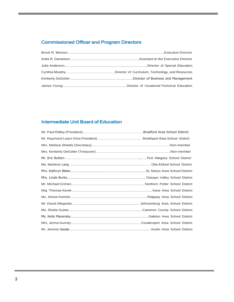# Commissioned Officer and Program Directors

# Intermediate Unit Board of Education

.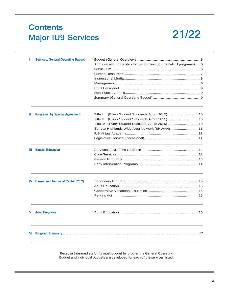# **Contents Major IU9 Services**

# 21/22

|     | <b>Services, General Operating Budget</b> | Administration (provides for the administration of all IU programs)6 |  |  |
|-----|-------------------------------------------|----------------------------------------------------------------------|--|--|
|     |                                           |                                                                      |  |  |
|     |                                           |                                                                      |  |  |
|     |                                           |                                                                      |  |  |
|     |                                           |                                                                      |  |  |
|     |                                           |                                                                      |  |  |
|     |                                           |                                                                      |  |  |
|     |                                           |                                                                      |  |  |
|     | <b>Programs, by Special Agreement</b>     | Title I                                                              |  |  |
|     |                                           | Title II                                                             |  |  |
|     |                                           |                                                                      |  |  |
|     |                                           | Seneca Highlands Wide Area Network (SHWAN)11                         |  |  |
|     |                                           |                                                                      |  |  |
|     |                                           |                                                                      |  |  |
| Ш.  | <b>Special Education</b>                  |                                                                      |  |  |
|     |                                           |                                                                      |  |  |
|     |                                           |                                                                      |  |  |
|     |                                           |                                                                      |  |  |
|     |                                           |                                                                      |  |  |
| IV. | <b>Career and Technical Center (CTC)</b>  |                                                                      |  |  |
|     |                                           |                                                                      |  |  |
|     |                                           |                                                                      |  |  |
|     |                                           |                                                                      |  |  |
|     | <b>Adult Programs</b>                     |                                                                      |  |  |
|     |                                           |                                                                      |  |  |
|     |                                           |                                                                      |  |  |

Because Intermediate Units must budget by program, a General Operating Budget and individual budgets are developed for each of the services listed.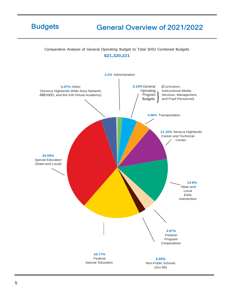# **Budgets**

# **General Overview of 2021/2022**

Comparative Analysis of General Operating Budget to Total SHIU Combined Budgets

### **\$21,320,221**

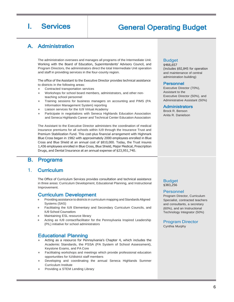# I. Services | General Operating Budget

# A. Administration

The administration oversees and manages all programs of the Intermediate Unit. Working with the Board of Education, Superintendents' Advisory Council, and Program Directors, the administrators direct the total Intermediate Unit operation and staff in providing services in the four-county region.

The office of the Assistant to the Executive Director provides technical assistance to districts in the following areas:

- Contracted transportation services
- Workshops for school board members, administrators, and other nonteaching school personnel
- Training sessions for business managers on accounting and PIMS (PA Information Management System) reporting
- Liaison services for the IU9 Virtual Academy
- Participate in negotiations with Seneca Highlands Education Association and Seneca Highlands Career and Technical Center Education Association

The Assistant to the Executive Director administers the coordination of medical insurance premiums for all schools within IU9 through the Insurance Trust and Premium Stabilization Fund. This cost-plus financial arrangement with Highmark Blue Cross began in 1982 with approximately 2000 employees enrolled in Blue Cross and Blue Shield at an annual cost of \$810,000. Today, the Trust insures 1,436 employees enrolled in Blue Cross, Blue Shield, Major Medical, Prescription Drugs, and Dental Insurance at an annual expense of \$23,951,740.

# B. Programs

### 1. Curriculum

The Office of Curriculum Services provides consultation and technical assistance in three areas: Curriculum Development, Educational Planning, and Instructional Improvement.

### Curriculum Development

- Providing assistance to districts in curriculum mapping and Standards Aligned Systems (SAS)
- Facilitating the IU9 Elementary and Secondary Curriculum Councils, and IU9 School Counselors
- Maintaining ESL resource library
- Acting as IU9 contact/facilitator for the Pennsylvania Inspired Leadership (PIL) initiative for school administrators

# Educational Planning

- Acting as a resource for Pennsylvania's Chapter 4, which includes the Academic Standards, the PSSA (PA System of School Assessment), Keystone Exams, and PA Core
- Facilitating workshops and meetings which provide professional education opportunities for IU/district staff members
- Developing and coordinating the annual Seneca Highlands Summer Curriculum Institute
- Providing a STEM Lending Library

#### Budget

\$466,657 (includes \$92,845 for operation and maintenance of central administration building)

#### Personnel

Executive Director (70%), Assistant to the Executive Director (50%), and Administrative Assistant (50%)

#### **Administrators**

Brock R. Benson Anita R. Danielson

#### Budget \$383,256

#### Personnel

Program Director, Curriculum Specialist, contracted teachers and consultants, a secretary (60%), and an Instructional Technology Integrator (50%)

Program Director Cynthia Murphy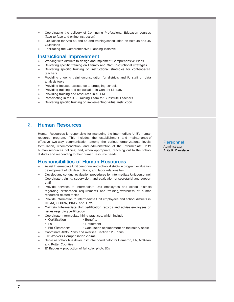- Coordinating the delivery of Continuing Professional Education courses (face-to-face and online instruction)
- IU9 liaison for Acts 48 and 45 and training/consultation on Acts 48 and 45 **Guidelines**
- Facilitating the Comprehensive Planning Initiative

### Instructional Improvement

- Working with districts to design and implement Comprehensive Plans
- Delivering specific training on Literacy and Math instructional strategies
- Delivering specific training on instructional strategies for content-area teachers
- Providing ongoing training/consultation for districts and IU staff on data analysis tools
- Providing focused assistance to struggling schools
- Providing training and consultation in Content Literacy
- Providing training and resources in STEM
- Participating in the IU9 Training Team for Substitute Teachers
- Delivering specific training on implementing virtual instruction

## 2. Human Resources

Human Resources is responsible for managing the Intermediate Unit's human resource program. This includes the establishment and maintenance of effective two-way communication among the various organizational levels; formulation, recommendation, and administration of the Intermediate Unit's human resources policies; and, when appropriate, reaching out to the school districts and responding to their human resource needs.

### Responsibilities of Human Resources

- Assist Intermediate Unit personnel and school districts in program evaluation, development of job descriptions, and labor relations law
- Develop and conduct evaluation procedures for Intermediate Unit personnel. Coordinate training, supervision, and evaluation of secretarial and support staff
- Provide services to Intermediate Unit employees and school districts regarding certification requirements and training/awareness of human resources-related topics
- Provide information to Intermediate Unit employees and school districts in HIPAA, COBRA, PIMS, and TIMS
- Maintain Intermediate Unit certification records and advise employees on issues regarding certification
- Coordinate Intermediate hiring practices, which include:
	- Certification Benefits
	- I-9 Retirement
	- FBI Clearances Calculation of placement on the salary scale
- Coordinate 403b Plans and oversee Section 125 Plans
- File Workers' Compensation claims
- Serve as school bus driver instructor coordinator for Cameron, Elk, McKean, and Potter Counties
- $ID$  Badges production of full color photo  $IDS$

#### Personnel

Administrator Anita R. Danielson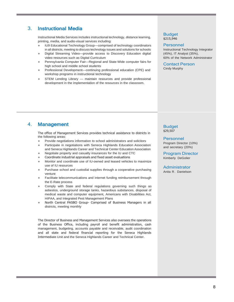# 3. Instructional Media

Instructional Media Services includes instructional technology, distance learning, printing, media, and audio-visual services including:

- ♦ IU9 Educational Technology Group—comprised of technology coordinators in all districts, meeting to discuss technology issues and solutions for schools
- Digital Streaming Video—provide access to Discovery Education digital video resources such as Digital Curriculum
- Pennsylvania Computer Fair-Regional and State-Wide computer fairs for high school and middle school students
- Professional Development—continuing professional education (CPE) and workshop programs in instructional technology
- STEM Lending Library maintain resources and provide professional development in the implementation of the resources in the classroom.

#### Budget \$215,946

#### Personnel

Instructional Technology Integrator (45%), IT Analyst (35%), 60% of the Network Administrator

Contact Person Cindy Murphy

# 4. Management

The office of Management Services provides technical assistance to districts in the following areas:

- Provide negotiations information to school administrators and solicitors
- ♦ Participate in negotiations with Seneca Highlands Education Association and Seneca Highlands Career and Technical Center Education Association
- Negotiate property and casualty insurances for the IU and CTC
- Coordinate industrial appraisals and fixed asset evaluations
- Monitor and coordinate use of IU-owned and leased vehicles to maximize use of IU resources
- Purchase school and custodial supplies through a cooperative purchasing venture
- Facilitate telecommunications and internet funding reimbursement through the E-Rate process
- Comply with State and federal regulations governing such things as asbestos, underground storage tanks, hazardous substances, disposal of medical waste and computer equipment, Americans with Disabilities Act, HIPAA, and Integrated Pest Management Plans
- North Central PASBO Group- Comprised of Business Managers in all districts, meeting monthly

The Director of Business and Management Services also oversees the operations of the Business Office, including payroll and benefit administration, cash management, budgeting, accounts payable and receivable, audit coordination and all state and federal financial reporting for the Seneca Highlands Intermediate Unit and the Seneca Highlands Career and Technical Center.

#### Budget \$29,507

Personnel Program Director (10%) and secretary (20%)

Program Director Kimberly DeGolier

**Administrator** Anita R. Danielson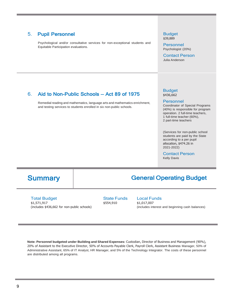# 5. Pupil Personnel

Psychological and/or consultative services for non-exceptional students and Equitable Participation evaluations.

#### Budget \$39,889

Personnel Psychologist (20%)

Contact Person Julia Anderson

# 6. Aid to Non-Public Schools — Act 89 of 1975

Remedial reading and mathematics, language arts and mathematics enrichment, and testing services to students enrolled in six non-public schools.

#### Budget \$436,662

#### Personnel

Coordinator of Special Programs (40%) is responsible for program operation. 2 full-time teachers, 1 full-time teacher (60%), 2 part-time teachers

(Services for non-public school students are paid by the State according to a per pupil allocation, \$474.26 in 2021-2022)

#### Contact Person

Kelly Davis

# Summary | General Operating Budget

Total Budget \$1,571,917 (includes \$436,662 for non-public schools)

State Funds \$554,910

### Local Funds

\$1,017,007 (includes interest and beginning cash balances)

**Note: Personnel budgeted under Building and Shared Expenses:** Custodian, Director of Business and Management (90%), 20% of Assistant to the Executive Director, 50% of Accounts Payable Clerk, Payroll Clerk, Assistant Business Manager, 50% of Administrative Assistant, 65% of IT Analyst, HR Manager, and 5% of the Technology Integrator. The costs of these personnel are distributed among all programs.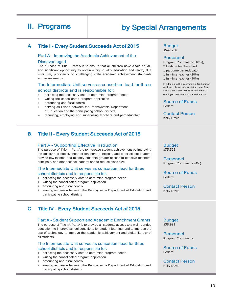# II. Programs | by Special Arrangements

# A. Title I - Every Student Succeeds Act of 2015 Budget

#### Part A - Improving the Academic Achievement of the

#### Disadvantaged

The purpose of Title I, Part A is to ensure that all children have a fair, equal, and significant opportunity to obtain a high-quality education and reach, at a minimum, proficiency on challenging state academic achievement standards and assessments.

#### The Intermediate Unit serves as consortium lead for three

#### school districts and is responsible for:

- ♦ collecting the necessary data to determine program needs
- writing the consolidated program application
- accounting and fiscal control
- serving as liaison between the Pennsylvania Department of Education and the participating school districts
- recruiting, employing and supervising teachers and paraeducators

### B. Title II - Every Student Succeeds Act of 2015

#### Part A - Supporting Effective Instruction

The purpose of Title II, Part A is to increase student achievement by improving the quality and effectiveness of teachers, principals, and other school leaders; provide low-income and minority students greater access to effective teachers, principals, and other school leaders; and to reduce class size.

#### The Intermediate Unit serves as consortium lead for three

#### school districts and is responsible for:

- ♦ collecting the necessary data to determine program needs
- ♦ writing the consolidated program application
- ♦ accounting and fiscal control
- serving as liaison between the Pennsylvania Department of Education and participating school districts

### C. Title IV - Every Student Succeeds Act of 2015

#### Part A - Student Support and Academic Enrichment Grants

The purpose of Title IV, Part A is to provide all students access to a well-rounded education; to improve school conditions for student learning; and to improve the use of technology to improve the academic achievement and digital literacy of all students.

#### The Intermediate Unit serves as consortium lead for three school districts and is responsible for:

- ♦ collecting the necessary data to determine program needs
- ♦ writing the consolidated program application
- accounting and fiscal control
- serving as liaison between the Pennsylvania Department of Education and participating school districts

\$542,238

#### Personnel

Program Coordinator (16%),

- 2 full-time teachers and
- 1 part-time paraeducator
- 1 full-time teacher (20%)
- 1 full-time teacher (40%)

In addition to the Intermediate Unit personnel listed above, school districts use Title I funds to contract services with districtemployed teachers and paraeducators.

Source of Funds Federal

Contact Person Kelly Davis

#### Budget \$75,565

Personnel Program Coordinator (4%)

Source of Funds Federal

Contact Person Kelly Davis

Budget \$38,991

Personnel Program Coordinator

Source of Funds Federal

Contact Person Kelly Davis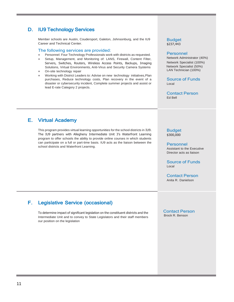# D. IU9 Technology Services

Member schools are Austin, Coudersport, Galeton, Johnsonburg, and the IU9 Career and Technical Center.

#### The following services are provided:

- Personnel: Four Technology Professionals work with districts as requested.
- Setup, Management, and Monitoring of: LANS, Firewall, Content Filter, Servers, Switches, Routers, Wireless Access Points, Backups, Imaging Solutions, Virtual Environments, Anti-Virus and Security Camera Systems
- On-site technology repair
- Working with District Leaders to: Advise on new technology initiatives, Plan purchases, Reduce technology costs, Plan recovery in the event of a disaster or cybersecurity incident, Complete summer projects and assist or lead E-rate Category 2 projects.

Budget \$237,443

#### Personnel

Network Administrator (40%) Network Specialist (100%) Network Specialist (50%) LAN Technician (100%)

Source of Funds Local

Contact Person Ed Bell

# E. Virtual Academy

This program provides virtual learning opportunities for the school districts in IU9. The IU9 partners with Allegheny Intermediate Unit 3's Waterfront Learning program to offer schools the ability to provide online courses in which students can participate on a full or part-time basis. IU9 acts as the liaison between the school districts and Waterfront Learning.

Budget \$300,000

Personnel Assistant to the Executive Director acts as liaison

Source of Funds Local

Contact Person Anita R. Danielson

# F. Legislative Service (occasional)

To determine impact of significant legislation on the constituent districts and the Intermediate Unit and to convey to State Legislators and their staff members our position on the legislation

Contact Person Brock R. Benson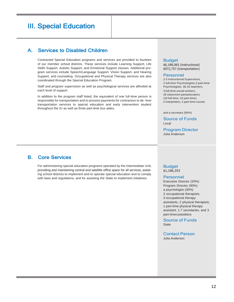# III. Special Education

# A. Services to Disabled Children

Contracted Special Education programs and services are provided to fourteen of our member school districts. These services include Learning Support, Life Skills Support, Autistic Support, and Emotional Support classes. Additional program services include Speech/Language Support, Vision Support, and Hearing Support, and counseling. Occupational and Physical Therapy services are also coordinated through the Special Education Program.

Staff and program supervision as well as psychological services are afforded at each level of support.

In addition to the program staff listed, the equivalent of one full-time person is responsible for transportation and to process payments for contractors to de- liver transportation services to special education and early intervention student throughout the IU as well as three part-time bus aides.

#### **Budget**

\$6,188,065 (instructional) \$972,757 (transportation)

#### Personnel

2.5 Instructional Supervisors, 2 full-time Psychologists,3 part-time Psychologists, 36.25 teachers, 3 full-time social workers, 26 classroom paraeducators, (16 full-time, 10 part-time), 2 interpreters, 2 part-time nurses

and a secretary (90%)

Source of Funds Local

Program Director Julia Anderson

# B. Core Services

For administering special education programs operated by the Intermediate Unit, providing and maintaining central and satellite office space for all services, assisting school districts to implement and to operate special education and to comply with laws and regulations, and for assisting the State to implement initiatives.

#### Budget \$1,186,353

#### Personnel

Executive Director (20%) Program Director (90%) a psychologist (30%) 3 occupational therapists, 3 occupational therapy assistants, 2 physical therapists, 1 part-time physical therapy assistant, 1.7 secretaries, and 3 part-time custodians

Source of Funds **State** 

Contact Person Julia Anderson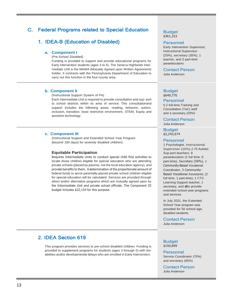# C. Federal Programs related to Special Education

# 1. IDEA-B (Education of Disabled)

#### **a. Component I**

(Pre-School Disabled)

Funding is provided to support and provide educational programs for Early Intervention students (ages 3 to 5). The Seneca Highlands Intermediate Unit is the MAWA (Mutually Agreed upon Written Agreement) holder. It contracts with the Pennsylvania Department of Education to carry out this function in the four-county area.

#### **b. Component II**

(Instructional Support System of PA)

Each Intermediate Unit is required to provide consultation and sup- port to school districts within its area of service. This consultationand support includes the following areas: reading, behavior, autism, inclusion, transition, least restrictive environment, STEM, Equity and assistive technology.

#### **c. Component III**

(Instructional Support and Extended School Year Program {beyond 180 days} for severely disabled children)

#### **Equitable Participation**

Requires Intermediate Units to conduct special child find activities to locate those children eligible for special education who are attending private schools (placed by parents, not the local education agency), and provide benefits to them. Adetermination of the proportionate amount of federal funds to serve parentally-placed private school children eligible for special education will be calculated. Services are provided through direct and/or alternative programs which are mutually agreed upon by the Intermediate Unit and private school officials. The Component III budget includes \$22,154 for this purpose.

#### Budget \$361,333

#### Personnel

Early Intervention Supervisor, Instructional Supervisor (20%), secretary (35%), 1 teacher, and 3 part-time paraeducators

Contact Person

Julia Anderson

#### Budget \$649,770

#### Personnel

5.2 full-time Training and Consultation (TaC) staff and a secretary (20%)

Contact Person Julia Anderson

Budget \$2,242,674

#### Personnel

1 Psychologist, Instructional Supervisor (10%),2.75 Autistic Sup-port teachers, 8 paraeducators (2 full time, 6 part-time), Secretary (50%), 1 Community-Based Vocational Coordinator, 3 Community-Based Vocational Assistants, (2 full time, 1 part-time), 1 CTC Learning Support teacher, 1 secretary, and stfto provide extended school year programs and services

In July 2021, the Extended School Year program was provided for 56 school-age, disabled students

#### Contact Person

Julia Anderson

# 2. IDEA Section 619

This program provides services to pre-school disabled children. Funding is provided to supplement programs for students (ages 3 through 5) with disabilities and/or developmental delays who are enrolled in Early Intervention.

#### Budget \$150,699

Personnel

Service Coordinator (70%) and secretary (65%)

Contact Person Julia Anderson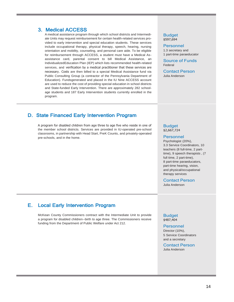### 3. Medical ACCESS

A medical assistance program through which school districts and Intermediate Units may request reimbursement for certain health-related services provided to early intervention and special education students. These services include occupational therapy, physical therapy, speech, hearing, nursing orientation and mobility, counseling, and personal care aide. To be eligible for reimbursement through ACCESS, a student must have a Medical Asassistance card, parental consent to bill Medical Assistance, an IndividualizedEducation Plan (IEP) which lists recommended health-related services, and verification by a medical practitioner that these services are necessary. Costs are then billed to a special Medical Assistance fund via Public Consulting Group (a contractor of the Pennsylvania Department of Education). Fundsgenerated and placed in the IU Nine ACCESS account are used to reduce the cost of providing special education in school districts and State-funded Early Intervention. There are approximately 282 schoolage students and 187 Early Intervention students currently enrolled in the program.

# D. State Financed Early Intervention Program

A program for disabled children from age three to age five who reside in one of the member school districts. Services are provided in IU-operated pre-school classrooms, in partnership with Head Start, PreK Counts, and privately-operated pre-schools, and in the home.

#### Budget \$597,694

#### Personnel

1.3 secretary and 1 part-time paraeducator

Source of Funds Federal

Contact Person Julia Anderson

#### Budget \$2,667,724

### Personnel

Psychologist (20%), 3.3 Service Coordinators, 10 teachers (8 full-time, 2 parttime), 9 speech therapists , (7 full time, 2 part-time), 8 part-time paraeducators, part-time hearing, vision, and physical/occupational therapy services

Contact Person

Julia Anderson

# E. Local Early Intervention Program

McKean County Commissioners contract with the Intermediate Unit to provide a program for disabled children--birth to age three. The Commissioners receive funding from the Department of Public Welfare under Act 212.

#### Budget \$487,404

#### Personnel Director (10%), 5 Service Coordinators and a secretary

Contact Person Julia Anderson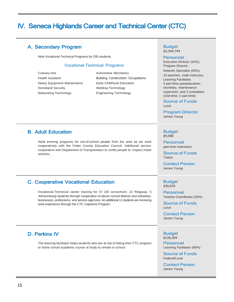# IV. Seneca Highlands Career and Technical Center (CTC)

# A. Secondary Program

Nine Vocational-Technical Programs for 295 students

#### Vocational-Technical Programs

Culinary Arts **Automotive Mechanics** Automotive Mechanics Heavy Equipment Maintenance Early Childhood Education Homeland Security **Welding Technology** Networking Technology **Engineering Technology** 

Health Assistant **Building Construction Occupations** 

# **B. Adult Education Budget All Accords** Budget **Budget**

Adult evening programs for out-of-school people from the area as we work cooperatively with the Potter County Education Council. Additional service: cooperative with Department of Transportation to certify people to inspect motor vehicles.

# C. Cooperative Vocational Education **Budget** Budget

Vocational-Technical career training for 57 (30 consortium, 22 Ridgway, 5 Johnsonburg) students through cooperation of eleven school districts and industries, businesses, professions, and service agencies. An additional 11 students are receiving work experience through the CTC Capstone Program.

# D. Perkins IV

The learning facilitator helps students who are at risk of failing their CTC program or home school academic course of study to remain in school.

#### Budget \$2,344,744

#### Personnel

Executive Director (10%), Program Director,

Network Specialist (50%), 10 teachers, math instructor, Learning Facilitator, 4 part-time paraeducators, secretary, maintenance supervisor, and 3 custodians (1full-time, 2 part-time)

Source of Funds Local

Program Director James Young

# \$4,000

Personnel part-time instructors

Source of Funds Tuition

Contact Person James Young

\$30,676

Personnel Teacher-Coordinator (20%)

Source of Funds Local

Contact Person James Young

#### **Budget** \$126,304

Personnel Learning Facilitator (80%)

Source of Funds Federal/Local

Contact Person James Young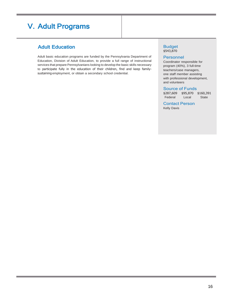# V. Adult Programs

# Adult Education **Budget Budget**

Adult basic education programs are funded by the Pennsylvania Department of Education, Division of Adult Education, to provide a full range of instructional services that prepare Pennsylvanians looking to develop the basic skills necessary to participate fully in the education of their children, find and keep familysustaining employment, or obtain a secondary school credential.

# \$543,870

#### Personnel

Coordinator responsible for program (40%), 3 full-time teachers/case managers, one staff member assisting with professional development, and volunteers

#### Source of Funds

\$287,609 \$95,870 \$160,391 Federal Local State

### Contact Person

Kelly Davis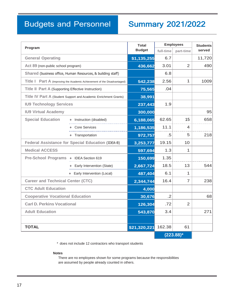# Budgets and Personnel

# Summary 2021/2022

| Program                                                                  |                                                             | <b>Total</b><br><b>Budget</b> | <b>Employees</b> |                | <b>Students</b> |  |
|--------------------------------------------------------------------------|-------------------------------------------------------------|-------------------------------|------------------|----------------|-----------------|--|
|                                                                          |                                                             |                               | full-time        | part-time      | served          |  |
| <b>General Operating</b>                                                 |                                                             | \$1,135,255                   | 6.7              |                | 11,720          |  |
| Act 89 (non-public school program)                                       |                                                             | 436,662                       | 3.01             | 2              | 490             |  |
|                                                                          | Shared (business office, Human Resources, & building staff) |                               | 6.8              |                |                 |  |
| Title I Part A (Improving the Academic Achievement of the Disadvantaged) |                                                             | 542,238                       | 2.56             | 1              | 1009            |  |
| Title II Part A (Supporting Effective Instruction)                       |                                                             | 75,565                        | .04              |                |                 |  |
| Title IV Part A (Student Support and Academic Enrichment Grants)         |                                                             | 38,991                        |                  |                |                 |  |
| <b>IU9 Technology Services</b>                                           |                                                             | 237,443                       | 1.9              |                |                 |  |
| <b>IU9 Virtual Academy</b>                                               |                                                             | 300,000                       |                  |                | 95              |  |
| <b>Special Education</b>                                                 | Instruction (disabled)                                      | 6,188,065                     | 62.65            | 15             | 658             |  |
|                                                                          | <b>Core Services</b>                                        | 1,186,535                     | 11.1             | 4              |                 |  |
|                                                                          | Transportation                                              | 972,757                       | .5               | 5              | 218             |  |
|                                                                          | <b>Federal Assistance for Special Education (IDEA-B)</b>    | 3,253,777                     | 19.15            | 10             |                 |  |
| <b>Medical ACCESS</b>                                                    |                                                             | 597,694                       | 1.3              | 1              |                 |  |
| Pre-School Programs + IDEA Section 619                                   |                                                             | 150,699                       | 1.35             |                |                 |  |
|                                                                          | Early Intervention (State)                                  | 2,667,724                     | 18.5             | 13             | 544             |  |
|                                                                          | + Early Intervention (Local)                                | 487,404                       | 6.1              | 1              |                 |  |
| <b>Career and Technical Center (CTC)</b>                                 |                                                             | 2,344,744                     | 16.4             | $\overline{7}$ | 238             |  |
| <b>CTC Adult Education</b>                                               |                                                             | 4,000                         |                  |                |                 |  |
| <b>Cooperative Vocational Education</b>                                  |                                                             | 30,676                        | .2               |                | 68              |  |
| <b>Carl D. Perkins Vocational</b>                                        |                                                             | 126,304                       | .72              | 2              |                 |  |
| <b>Adult Education</b>                                                   |                                                             | 543,870                       | 3.4              |                | 271             |  |
|                                                                          |                                                             |                               |                  |                |                 |  |
| <b>TOTAL</b>                                                             |                                                             | \$21,320,221                  | 162.38           | 61             |                 |  |
|                                                                          |                                                             |                               | $(223.88)^*$     |                |                 |  |

\* does not include 12 contractors who transport students

#### **Notes**

There are no employees shown for some programs because the responsibilities are assumed by people already counted in others.